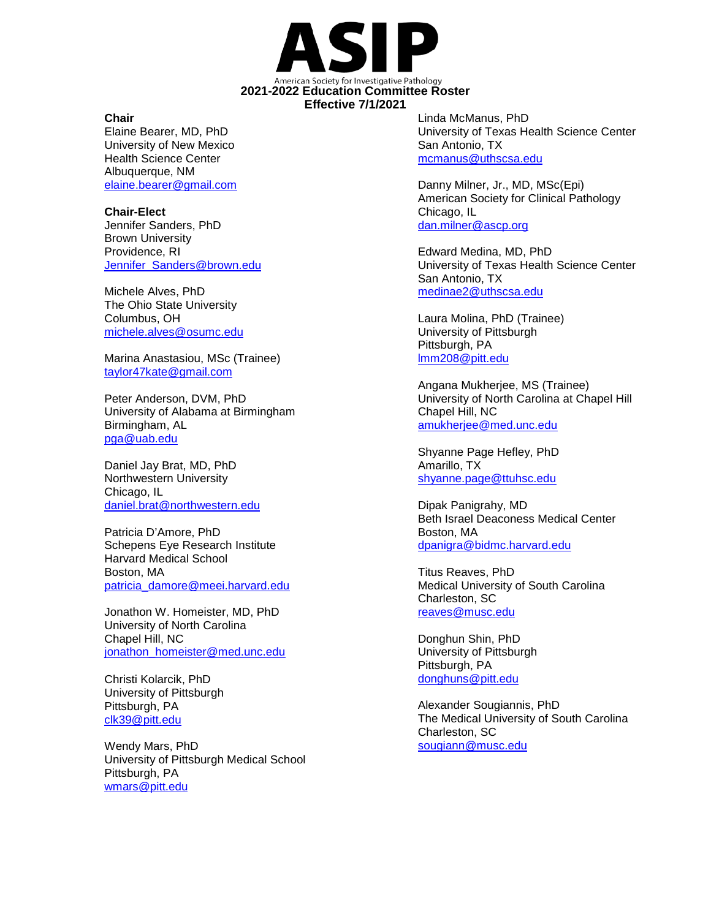

## **Chair**

Elaine Bearer, MD, PhD University of New Mexico Health Science Center Albuquerque, NM [elaine.bearer@gmail.com](mailto:elaine.bearer@gmail.com)

**Chair-Elect** Jennifer Sanders, PhD Brown University Providence, RI [Jennifer\\_Sanders@brown.edu](mailto:Jennifer_Sanders@brown.edu)

Michele Alves, PhD The Ohio State University Columbus, OH [michele.alves@osumc.edu](mailto:michele.alves@osumc.edu)

Marina Anastasiou, MSc (Trainee) [taylor47kate@gmail.com](mailto:taylor47kate@gmail.com)

Peter Anderson, DVM, PhD University of Alabama at Birmingham Birmingham, AL [pga@uab.edu](mailto:pga@uab.edu)

Daniel Jay Brat, MD, PhD Northwestern University Chicago, IL [daniel.brat@northwestern.edu](mailto:daniel.brat@northwestern.edu)

Patricia D'Amore, PhD Schepens Eye Research Institute Harvard Medical School Boston, MA [patricia\\_damore@meei.harvard.edu](mailto:patricia_damore@meei.harvard.edu)

Jonathon W. Homeister, MD, PhD University of North Carolina Chapel Hill, NC [jonathon\\_homeister@med.unc.edu](mailto:jonathon_homeister@med.unc.edu)

Christi Kolarcik, PhD University of Pittsburgh Pittsburgh, PA [clk39@pitt.edu](mailto:clk39@pitt.edu)

Wendy Mars, PhD University of Pittsburgh Medical School Pittsburgh, PA [wmars@pitt.edu](mailto:wmars@pitt.edu)

Linda McManus, PhD University of Texas Health Science Center San Antonio, TX [mcmanus@uthscsa.edu](mailto:mcmanus@uthscsa.edu)

Danny Milner, Jr., MD, MSc(Epi) American Society for Clinical Pathology Chicago, IL [dan.milner@ascp.org](mailto:dan.milner@ascp.org)

Edward Medina, MD, PhD University of Texas Health Science Center San Antonio, TX [medinae2@uthscsa.edu](mailto:medinae2@uthscsa.edu)

Laura Molina, PhD (Trainee) University of Pittsburgh Pittsburgh, PA [lmm208@pitt.edu](mailto:lmm208@pitt.edu)

Angana Mukherjee, MS (Trainee) University of North Carolina at Chapel Hill Chapel Hill, NC [amukherjee@med.unc.edu](mailto:amukherjee@med.unc.edu)

Shyanne Page Hefley, PhD Amarillo, TX [shyanne.page@ttuhsc.edu](mailto:shyanne.page@ttuhsc.edu)

Dipak Panigrahy, MD Beth Israel Deaconess Medical Center Boston, MA [dpanigra@bidmc.harvard.edu](mailto:dpanigra@bidmc.harvard.edu)

Titus Reaves, PhD Medical University of South Carolina Charleston, SC [reaves@musc.edu](mailto:reaves@musc.edu)

Donghun Shin, PhD University of Pittsburgh Pittsburgh, PA [donghuns@pitt.edu](mailto:donghuns@pitt.edu)

Alexander Sougiannis, PhD The Medical University of South Carolina Charleston, SC [sougiann@musc.edu](mailto:sougiann@musc.edu)